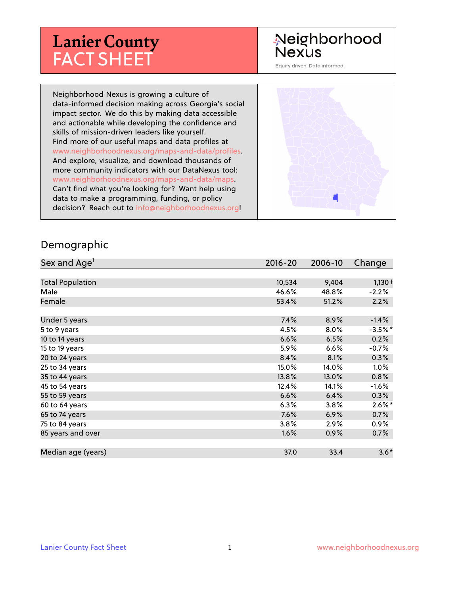# **Lanier County** FACT SHEET

# Neighborhood Nexus

Equity driven. Data informed.

Neighborhood Nexus is growing a culture of data-informed decision making across Georgia's social impact sector. We do this by making data accessible and actionable while developing the confidence and skills of mission-driven leaders like yourself. Find more of our useful maps and data profiles at www.neighborhoodnexus.org/maps-and-data/profiles. And explore, visualize, and download thousands of more community indicators with our DataNexus tool: www.neighborhoodnexus.org/maps-and-data/maps. Can't find what you're looking for? Want help using data to make a programming, funding, or policy decision? Reach out to [info@neighborhoodnexus.org!](mailto:info@neighborhoodnexus.org)



#### Demographic

| Sex and Age <sup>1</sup> | $2016 - 20$ | 2006-10 | Change    |
|--------------------------|-------------|---------|-----------|
|                          |             |         |           |
| <b>Total Population</b>  | 10,534      | 9,404   | $1,130+$  |
| Male                     | 46.6%       | 48.8%   | $-2.2%$   |
| Female                   | 53.4%       | 51.2%   | 2.2%      |
|                          |             |         |           |
| Under 5 years            | 7.4%        | 8.9%    | $-1.4%$   |
| 5 to 9 years             | 4.5%        | 8.0%    | $-3.5%$ * |
| 10 to 14 years           | 6.6%        | 6.5%    | 0.2%      |
| 15 to 19 years           | 5.9%        | 6.6%    | $-0.7%$   |
| 20 to 24 years           | 8.4%        | 8.1%    | 0.3%      |
| 25 to 34 years           | 15.0%       | 14.0%   | $1.0\%$   |
| 35 to 44 years           | 13.8%       | 13.0%   | 0.8%      |
| 45 to 54 years           | 12.4%       | 14.1%   | $-1.6%$   |
| 55 to 59 years           | 6.6%        | 6.4%    | 0.3%      |
| 60 to 64 years           | 6.3%        | 3.8%    | $2.6\%$ * |
| 65 to 74 years           | 7.6%        | 6.9%    | 0.7%      |
| 75 to 84 years           | 3.8%        | $2.9\%$ | $0.9\%$   |
| 85 years and over        | 1.6%        | 0.9%    | 0.7%      |
|                          |             |         |           |
| Median age (years)       | 37.0        | 33.4    | $3.6*$    |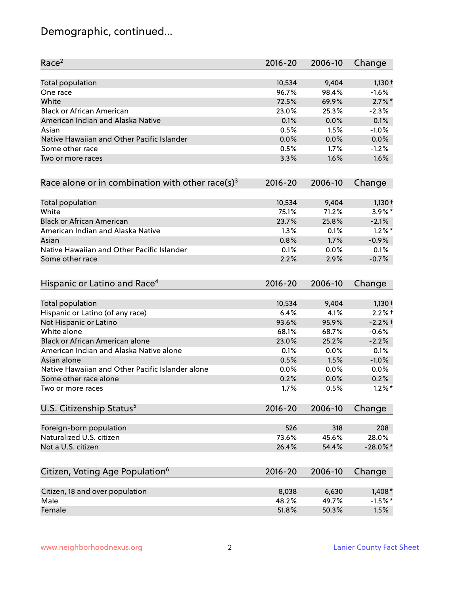# Demographic, continued...

| Race <sup>2</sup>                                            | $2016 - 20$ | 2006-10 | Change      |
|--------------------------------------------------------------|-------------|---------|-------------|
| <b>Total population</b>                                      | 10,534      | 9,404   | $1,130+$    |
| One race                                                     | 96.7%       | 98.4%   | $-1.6%$     |
| White                                                        | 72.5%       | 69.9%   | $2.7\%$ *   |
| <b>Black or African American</b>                             | 23.0%       | 25.3%   | $-2.3%$     |
| American Indian and Alaska Native                            | 0.1%        | 0.0%    | 0.1%        |
| Asian                                                        | 0.5%        | 1.5%    | $-1.0%$     |
| Native Hawaiian and Other Pacific Islander                   | 0.0%        | 0.0%    | 0.0%        |
| Some other race                                              | 0.5%        | 1.7%    | $-1.2%$     |
| Two or more races                                            | 3.3%        | 1.6%    | 1.6%        |
| Race alone or in combination with other race(s) <sup>3</sup> | $2016 - 20$ | 2006-10 | Change      |
| Total population                                             | 10,534      | 9,404   | $1,130 +$   |
| White                                                        | 75.1%       | 71.2%   | 3.9%*       |
| <b>Black or African American</b>                             | 23.7%       | 25.8%   | $-2.1%$     |
| American Indian and Alaska Native                            | 1.3%        | 0.1%    | $1.2\%$ *   |
| Asian                                                        | 0.8%        | 1.7%    | $-0.9%$     |
| Native Hawaiian and Other Pacific Islander                   | 0.1%        | 0.0%    | 0.1%        |
| Some other race                                              | 2.2%        | 2.9%    | $-0.7%$     |
| Hispanic or Latino and Race <sup>4</sup>                     | $2016 - 20$ | 2006-10 | Change      |
| <b>Total population</b>                                      | 10,534      | 9,404   | $1,130+$    |
| Hispanic or Latino (of any race)                             | 6.4%        | 4.1%    | $2.2%$ +    |
| Not Hispanic or Latino                                       | 93.6%       | 95.9%   | $-2.2%$ t   |
| White alone                                                  | 68.1%       | 68.7%   | $-0.6%$     |
| Black or African American alone                              | 23.0%       | 25.2%   | $-2.2%$     |
| American Indian and Alaska Native alone                      | 0.1%        | $0.0\%$ | 0.1%        |
| Asian alone                                                  | 0.5%        | 1.5%    | $-1.0%$     |
| Native Hawaiian and Other Pacific Islander alone             | 0.0%        | 0.0%    | 0.0%        |
| Some other race alone                                        | 0.2%        | 0.0%    | 0.2%        |
| Two or more races                                            | 1.7%        | 0.5%    | $1.2\%$ *   |
| U.S. Citizenship Status <sup>5</sup>                         | $2016 - 20$ | 2006-10 | Change      |
| Foreign-born population                                      | 526         | 318     | 208         |
| Naturalized U.S. citizen                                     | 73.6%       | 45.6%   | 28.0%       |
| Not a U.S. citizen                                           | 26.4%       | 54.4%   | $-28.0\%$ * |
|                                                              |             |         |             |
| Citizen, Voting Age Population <sup>6</sup>                  | $2016 - 20$ | 2006-10 | Change      |
| Citizen, 18 and over population                              | 8,038       | 6,630   | $1,408*$    |
| Male                                                         | 48.2%       | 49.7%   | $-1.5%$ *   |
| Female                                                       | 51.8%       | 50.3%   | 1.5%        |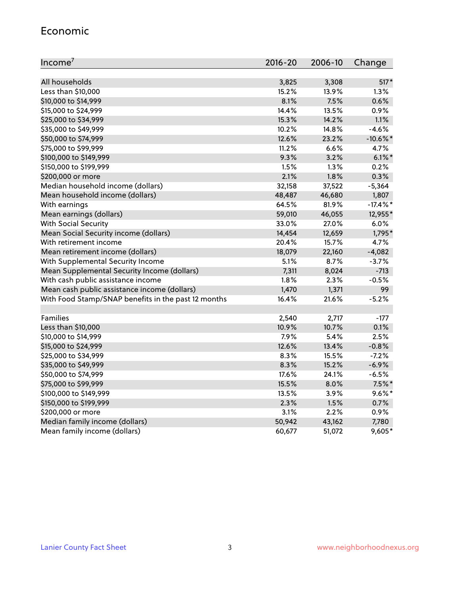#### Economic

| Income <sup>7</sup>                                 | $2016 - 20$ | 2006-10 | Change      |
|-----------------------------------------------------|-------------|---------|-------------|
|                                                     |             |         |             |
| All households                                      | 3,825       | 3,308   | $517*$      |
| Less than \$10,000                                  | 15.2%       | 13.9%   | 1.3%        |
| \$10,000 to \$14,999                                | 8.1%        | 7.5%    | 0.6%        |
| \$15,000 to \$24,999                                | 14.4%       | 13.5%   | 0.9%        |
| \$25,000 to \$34,999                                | 15.3%       | 14.2%   | 1.1%        |
| \$35,000 to \$49,999                                | 10.2%       | 14.8%   | $-4.6%$     |
| \$50,000 to \$74,999                                | 12.6%       | 23.2%   | $-10.6\%$ * |
| \$75,000 to \$99,999                                | 11.2%       | 6.6%    | 4.7%        |
| \$100,000 to \$149,999                              | 9.3%        | 3.2%    | $6.1\%$ *   |
| \$150,000 to \$199,999                              | 1.5%        | 1.3%    | 0.2%        |
| \$200,000 or more                                   | 2.1%        | 1.8%    | 0.3%        |
| Median household income (dollars)                   | 32,158      | 37,522  | $-5,364$    |
| Mean household income (dollars)                     | 48,487      | 46,680  | 1,807       |
| With earnings                                       | 64.5%       | 81.9%   | $-17.4\%$ * |
| Mean earnings (dollars)                             | 59,010      | 46,055  | 12,955*     |
| <b>With Social Security</b>                         | 33.0%       | 27.0%   | 6.0%        |
| Mean Social Security income (dollars)               | 14,454      | 12,659  | 1,795*      |
| With retirement income                              | 20.4%       | 15.7%   | 4.7%        |
| Mean retirement income (dollars)                    | 18,079      | 22,160  | $-4,082$    |
| With Supplemental Security Income                   | 5.1%        | $8.7\%$ | $-3.7%$     |
| Mean Supplemental Security Income (dollars)         | 7,311       | 8,024   | $-713$      |
| With cash public assistance income                  | 1.8%        | 2.3%    | $-0.5%$     |
| Mean cash public assistance income (dollars)        | 1,470       | 1,371   | 99          |
| With Food Stamp/SNAP benefits in the past 12 months | 16.4%       | 21.6%   | $-5.2%$     |
|                                                     |             |         |             |
| Families                                            | 2,540       | 2,717   | $-177$      |
| Less than \$10,000                                  | 10.9%       | 10.7%   | 0.1%        |
| \$10,000 to \$14,999                                | 7.9%        | 5.4%    | 2.5%        |
| \$15,000 to \$24,999                                | 12.6%       | 13.4%   | $-0.8%$     |
| \$25,000 to \$34,999                                | 8.3%        | 15.5%   | $-7.2%$     |
| \$35,000 to \$49,999                                | 8.3%        | 15.2%   | $-6.9%$     |
| \$50,000 to \$74,999                                | 17.6%       | 24.1%   | $-6.5%$     |
| \$75,000 to \$99,999                                | 15.5%       | 8.0%    | $7.5\%$ *   |
| \$100,000 to \$149,999                              | 13.5%       | 3.9%    | $9.6\%$ *   |
| \$150,000 to \$199,999                              | 2.3%        | 1.5%    | 0.7%        |
| \$200,000 or more                                   | 3.1%        | 2.2%    | 0.9%        |
| Median family income (dollars)                      | 50,942      | 43,162  | 7,780       |
| Mean family income (dollars)                        | 60,677      | 51,072  | 9,605*      |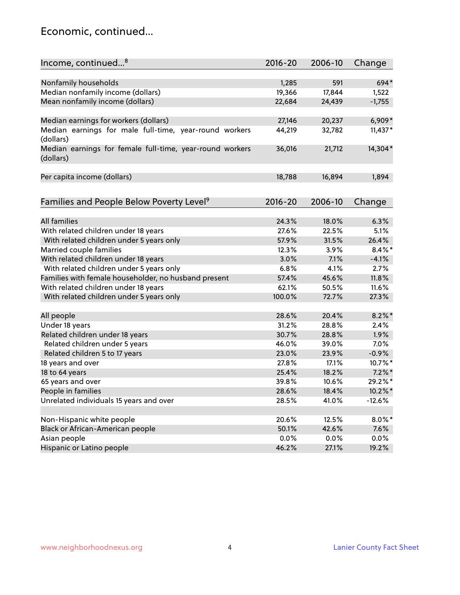### Economic, continued...

| Income, continued <sup>8</sup>                                        | $2016 - 20$ | 2006-10 | Change    |
|-----------------------------------------------------------------------|-------------|---------|-----------|
|                                                                       |             |         |           |
| Nonfamily households                                                  | 1,285       | 591     | 694*      |
| Median nonfamily income (dollars)                                     | 19,366      | 17,844  | 1,522     |
| Mean nonfamily income (dollars)                                       | 22,684      | 24,439  | $-1,755$  |
| Median earnings for workers (dollars)                                 | 27,146      | 20,237  | 6,909*    |
| Median earnings for male full-time, year-round workers                | 44,219      | 32,782  | $11,437*$ |
| (dollars)                                                             |             |         |           |
| Median earnings for female full-time, year-round workers<br>(dollars) | 36,016      | 21,712  | 14,304*   |
| Per capita income (dollars)                                           | 18,788      | 16,894  | 1,894     |
|                                                                       |             |         |           |
| Families and People Below Poverty Level <sup>9</sup>                  | $2016 - 20$ | 2006-10 | Change    |
|                                                                       |             |         |           |
| <b>All families</b>                                                   | 24.3%       | 18.0%   | 6.3%      |
| With related children under 18 years                                  | 27.6%       | 22.5%   | 5.1%      |
| With related children under 5 years only                              | 57.9%       | 31.5%   | 26.4%     |
| Married couple families                                               | 12.3%       | 3.9%    | $8.4\%$ * |
| With related children under 18 years                                  | 3.0%        | 7.1%    | $-4.1%$   |
| With related children under 5 years only                              | 6.8%        | 4.1%    | 2.7%      |
| Families with female householder, no husband present                  | 57.4%       | 45.6%   | 11.8%     |
| With related children under 18 years                                  | 62.1%       | 50.5%   | 11.6%     |
| With related children under 5 years only                              | 100.0%      | 72.7%   | 27.3%     |
| All people                                                            | 28.6%       | 20.4%   | $8.2\%$ * |
| Under 18 years                                                        | 31.2%       | 28.8%   | 2.4%      |
| Related children under 18 years                                       | 30.7%       | 28.8%   | 1.9%      |
| Related children under 5 years                                        | 46.0%       | 39.0%   | 7.0%      |
| Related children 5 to 17 years                                        | 23.0%       | 23.9%   | $-0.9%$   |
| 18 years and over                                                     | 27.8%       | 17.1%   | 10.7%*    |
| 18 to 64 years                                                        | 25.4%       | 18.2%   | $7.2\%$ * |
| 65 years and over                                                     | 39.8%       | 10.6%   | 29.2%*    |
| People in families                                                    | 28.6%       | 18.4%   | 10.2%*    |
| Unrelated individuals 15 years and over                               | 28.5%       | 41.0%   | $-12.6%$  |
|                                                                       |             |         |           |
| Non-Hispanic white people                                             | 20.6%       | 12.5%   | $8.0\%$ * |
| Black or African-American people                                      | 50.1%       | 42.6%   | 7.6%      |
| Asian people                                                          | 0.0%        | 0.0%    | 0.0%      |
| Hispanic or Latino people                                             | 46.2%       | 27.1%   | 19.2%     |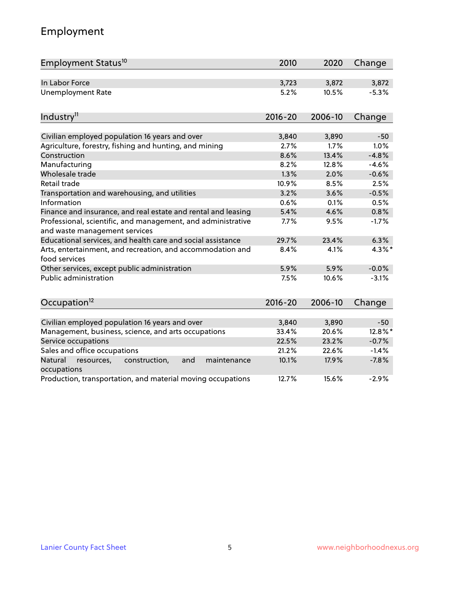# Employment

| Employment Status <sup>10</sup>                                                               | 2010        | 2020    | Change  |
|-----------------------------------------------------------------------------------------------|-------------|---------|---------|
| In Labor Force                                                                                | 3,723       | 3,872   | 3,872   |
| <b>Unemployment Rate</b>                                                                      | 5.2%        | 10.5%   | $-5.3%$ |
| Industry <sup>11</sup>                                                                        | $2016 - 20$ | 2006-10 | Change  |
| Civilian employed population 16 years and over                                                | 3,840       | 3,890   | $-50$   |
| Agriculture, forestry, fishing and hunting, and mining                                        | 2.7%        | 1.7%    | 1.0%    |
| Construction                                                                                  | 8.6%        | 13.4%   | $-4.8%$ |
| Manufacturing                                                                                 | 8.2%        | 12.8%   | $-4.6%$ |
| Wholesale trade                                                                               | 1.3%        | 2.0%    | $-0.6%$ |
| Retail trade                                                                                  | 10.9%       | 8.5%    | 2.5%    |
| Transportation and warehousing, and utilities                                                 | 3.2%        | 3.6%    | $-0.5%$ |
| Information                                                                                   | 0.6%        | 0.1%    | 0.5%    |
| Finance and insurance, and real estate and rental and leasing                                 | 5.4%        | 4.6%    | 0.8%    |
| Professional, scientific, and management, and administrative<br>and waste management services | 7.7%        | 9.5%    | $-1.7%$ |
| Educational services, and health care and social assistance                                   | 29.7%       | 23.4%   | 6.3%    |
| Arts, entertainment, and recreation, and accommodation and<br>food services                   | 8.4%        | 4.1%    | 4.3%*   |
| Other services, except public administration                                                  | 5.9%        | 5.9%    | $-0.0%$ |
| Public administration                                                                         | 7.5%        | 10.6%   | $-3.1%$ |
| Occupation <sup>12</sup>                                                                      | $2016 - 20$ | 2006-10 | Change  |
|                                                                                               |             |         |         |
| Civilian employed population 16 years and over                                                | 3,840       | 3,890   | $-50$   |
| Management, business, science, and arts occupations                                           | 33.4%       | 20.6%   | 12.8%*  |
| Service occupations                                                                           | 22.5%       | 23.2%   | $-0.7%$ |
| Sales and office occupations                                                                  | 21.2%       | 22.6%   | $-1.4%$ |
| Natural<br>resources,<br>construction,<br>maintenance<br>and<br>occupations                   | 10.1%       | 17.9%   | $-7.8%$ |
| Production, transportation, and material moving occupations                                   | 12.7%       | 15.6%   | $-2.9%$ |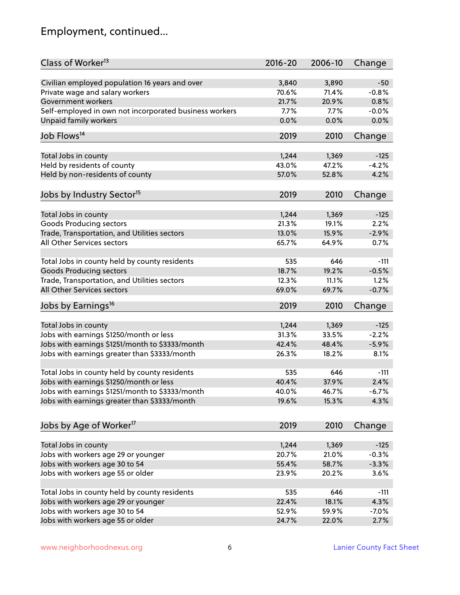# Employment, continued...

| Class of Worker <sup>13</sup>                                                              | $2016 - 20$    | 2006-10        | Change         |
|--------------------------------------------------------------------------------------------|----------------|----------------|----------------|
| Civilian employed population 16 years and over                                             | 3,840          | 3,890          | $-50$          |
| Private wage and salary workers                                                            | 70.6%          | 71.4%          | $-0.8%$        |
| Government workers                                                                         | 21.7%          | 20.9%          | 0.8%           |
| Self-employed in own not incorporated business workers                                     | 7.7%           | 7.7%           | $-0.0%$        |
| Unpaid family workers                                                                      | 0.0%           | 0.0%           | 0.0%           |
|                                                                                            |                |                |                |
| Job Flows <sup>14</sup>                                                                    | 2019           | 2010           | Change         |
| Total Jobs in county                                                                       | 1,244          | 1,369          | $-125$         |
| Held by residents of county                                                                | 43.0%          | 47.2%          | $-4.2%$        |
| Held by non-residents of county                                                            | 57.0%          | 52.8%          | 4.2%           |
|                                                                                            |                |                |                |
| Jobs by Industry Sector <sup>15</sup>                                                      | 2019           | 2010           | Change         |
| Total Jobs in county                                                                       | 1,244          | 1,369          | $-125$         |
| Goods Producing sectors                                                                    | 21.3%          | 19.1%          | 2.2%           |
| Trade, Transportation, and Utilities sectors                                               | 13.0%          | 15.9%          | $-2.9%$        |
| All Other Services sectors                                                                 | 65.7%          | 64.9%          | 0.7%           |
|                                                                                            |                |                |                |
| Total Jobs in county held by county residents                                              | 535            | 646            | $-111$         |
| <b>Goods Producing sectors</b>                                                             | 18.7%          | 19.2%          | $-0.5%$        |
| Trade, Transportation, and Utilities sectors                                               | 12.3%          | 11.1%          | 1.2%           |
| All Other Services sectors                                                                 | 69.0%          | 69.7%          | $-0.7%$        |
| Jobs by Earnings <sup>16</sup>                                                             | 2019           | 2010           | Change         |
|                                                                                            |                |                |                |
| Total Jobs in county                                                                       | 1,244          | 1,369          | $-125$         |
| Jobs with earnings \$1250/month or less                                                    | 31.3%          | 33.5%          | $-2.2%$        |
| Jobs with earnings \$1251/month to \$3333/month                                            | 42.4%          | 48.4%          | $-5.9%$        |
| Jobs with earnings greater than \$3333/month                                               | 26.3%          | 18.2%          | 8.1%           |
|                                                                                            | 535            | 646            |                |
| Total Jobs in county held by county residents                                              | 40.4%          | 37.9%          | $-111$<br>2.4% |
| Jobs with earnings \$1250/month or less<br>Jobs with earnings \$1251/month to \$3333/month |                |                |                |
| Jobs with earnings greater than \$3333/month                                               | 40.0%<br>19.6% | 46.7%<br>15.3% | -6.7%<br>4.3%  |
|                                                                                            |                |                |                |
| Jobs by Age of Worker <sup>17</sup>                                                        | 2019           | 2010           | Change         |
|                                                                                            |                |                |                |
| Total Jobs in county                                                                       | 1,244          | 1,369          | $-125$         |
| Jobs with workers age 29 or younger                                                        | 20.7%          | 21.0%          | $-0.3%$        |
| Jobs with workers age 30 to 54                                                             | 55.4%          | 58.7%          | $-3.3%$        |
| Jobs with workers age 55 or older                                                          | 23.9%          | 20.2%          | 3.6%           |
| Total Jobs in county held by county residents                                              | 535            | 646            | $-111$         |
| Jobs with workers age 29 or younger                                                        | 22.4%          | 18.1%          | 4.3%           |
| Jobs with workers age 30 to 54                                                             | 52.9%          | 59.9%          | $-7.0%$        |
| Jobs with workers age 55 or older                                                          | 24.7%          | 22.0%          | 2.7%           |
|                                                                                            |                |                |                |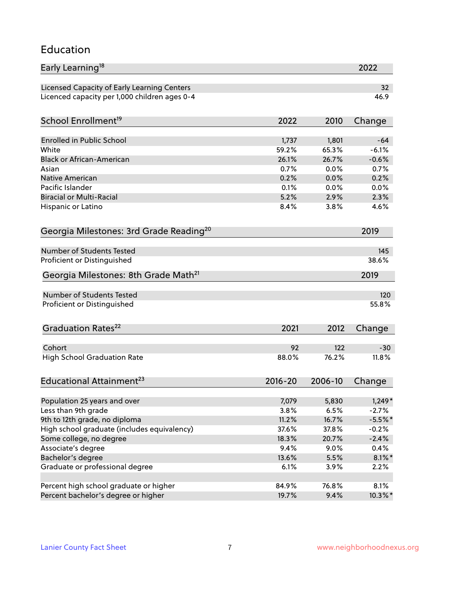#### Education

| Early Learning <sup>18</sup>                          |              |              | 2022            |
|-------------------------------------------------------|--------------|--------------|-----------------|
| Licensed Capacity of Early Learning Centers           |              |              | 32 <sub>2</sub> |
| Licenced capacity per 1,000 children ages 0-4         |              |              | 46.9            |
| School Enrollment <sup>19</sup>                       | 2022         | 2010         | Change          |
|                                                       |              |              |                 |
| <b>Enrolled in Public School</b>                      | 1,737        | 1,801        | $-64$           |
| White                                                 | 59.2%        | 65.3%        | $-6.1%$         |
| <b>Black or African-American</b>                      | 26.1%        | 26.7%        | $-0.6%$         |
| Asian                                                 | 0.7%         | 0.0%         | 0.7%            |
| <b>Native American</b>                                | 0.2%         | 0.0%         | 0.2%            |
| Pacific Islander                                      | 0.1%         | 0.0%         | 0.0%<br>2.3%    |
| <b>Biracial or Multi-Racial</b><br>Hispanic or Latino | 5.2%<br>8.4% | 2.9%<br>3.8% | 4.6%            |
|                                                       |              |              |                 |
| Georgia Milestones: 3rd Grade Reading <sup>20</sup>   |              |              | 2019            |
| <b>Number of Students Tested</b>                      |              |              | 145             |
| Proficient or Distinguished                           |              |              | 38.6%           |
| Georgia Milestones: 8th Grade Math <sup>21</sup>      |              |              | 2019            |
| <b>Number of Students Tested</b>                      |              |              | 120             |
| Proficient or Distinguished                           |              |              | 55.8%           |
|                                                       |              |              |                 |
| Graduation Rates <sup>22</sup>                        | 2021         | 2012         | Change          |
| Cohort                                                | 92           | 122          | $-30$           |
| <b>High School Graduation Rate</b>                    | 88.0%        | 76.2%        | 11.8%           |
|                                                       |              |              |                 |
| Educational Attainment <sup>23</sup>                  | $2016 - 20$  | 2006-10      | Change          |
| Population 25 years and over                          | 7,079        | 5,830        | $1,249*$        |
| Less than 9th grade                                   | 3.8%         | 6.5%         | $-2.7%$         |
| 9th to 12th grade, no diploma                         | 11.2%        | 16.7%        | $-5.5%$ *       |
| High school graduate (includes equivalency)           | 37.6%        | 37.8%        | $-0.2%$         |
| Some college, no degree                               | 18.3%        | 20.7%        | $-2.4%$         |
| Associate's degree                                    | 9.4%         | 9.0%         | 0.4%            |
| Bachelor's degree                                     | 13.6%        | 5.5%         | $8.1\%$ *       |
| Graduate or professional degree                       | 6.1%         | 3.9%         | 2.2%            |
| Percent high school graduate or higher                | 84.9%        | 76.8%        | 8.1%            |
| Percent bachelor's degree or higher                   |              |              |                 |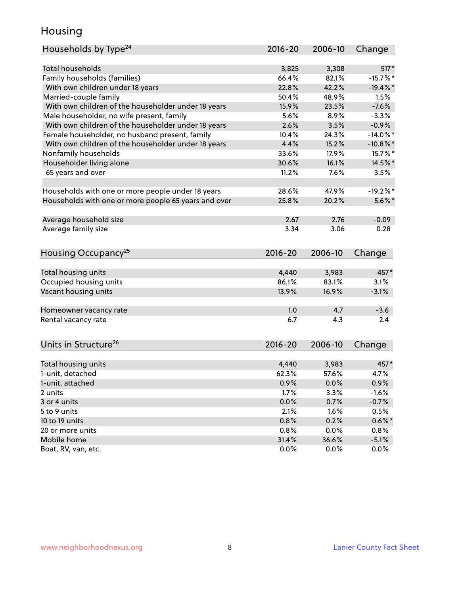### Housing

| <b>Total households</b><br>$517*$<br>3,825<br>3,308<br>Family households (families)<br>66.4%<br>82.1%<br>$-15.7%$<br>With own children under 18 years<br>22.8%<br>42.2%<br>$-19.4%$<br>Married-couple family<br>50.4%<br>48.9%<br>1.5%<br>With own children of the householder under 18 years<br>15.9%<br>23.5%<br>$-7.6%$<br>Male householder, no wife present, family<br>8.9%<br>5.6%<br>$-3.3%$<br>With own children of the householder under 18 years<br>2.6%<br>$-0.9%$<br>3.5%<br>Female householder, no husband present, family<br>10.4%<br>$-14.0\%$ *<br>24.3%<br>With own children of the householder under 18 years<br>4.4%<br>15.2%<br>$-10.8\%$ *<br>Nonfamily households<br>15.7%*<br>33.6%<br>17.9%<br>Householder living alone<br>30.6%<br>16.1%<br>14.5%*<br>65 years and over<br>11.2%<br>7.6%<br>3.5%<br>Households with one or more people under 18 years<br>28.6%<br>47.9%<br>$-19.2%$<br>Households with one or more people 65 years and over<br>25.8%<br>20.2%<br>$5.6\%$ *<br>Average household size<br>2.67<br>2.76<br>$-0.09$ |
|---------------------------------------------------------------------------------------------------------------------------------------------------------------------------------------------------------------------------------------------------------------------------------------------------------------------------------------------------------------------------------------------------------------------------------------------------------------------------------------------------------------------------------------------------------------------------------------------------------------------------------------------------------------------------------------------------------------------------------------------------------------------------------------------------------------------------------------------------------------------------------------------------------------------------------------------------------------------------------------------------------------------------------------------------------|
|                                                                                                                                                                                                                                                                                                                                                                                                                                                                                                                                                                                                                                                                                                                                                                                                                                                                                                                                                                                                                                                         |
|                                                                                                                                                                                                                                                                                                                                                                                                                                                                                                                                                                                                                                                                                                                                                                                                                                                                                                                                                                                                                                                         |
|                                                                                                                                                                                                                                                                                                                                                                                                                                                                                                                                                                                                                                                                                                                                                                                                                                                                                                                                                                                                                                                         |
|                                                                                                                                                                                                                                                                                                                                                                                                                                                                                                                                                                                                                                                                                                                                                                                                                                                                                                                                                                                                                                                         |
|                                                                                                                                                                                                                                                                                                                                                                                                                                                                                                                                                                                                                                                                                                                                                                                                                                                                                                                                                                                                                                                         |
|                                                                                                                                                                                                                                                                                                                                                                                                                                                                                                                                                                                                                                                                                                                                                                                                                                                                                                                                                                                                                                                         |
|                                                                                                                                                                                                                                                                                                                                                                                                                                                                                                                                                                                                                                                                                                                                                                                                                                                                                                                                                                                                                                                         |
|                                                                                                                                                                                                                                                                                                                                                                                                                                                                                                                                                                                                                                                                                                                                                                                                                                                                                                                                                                                                                                                         |
|                                                                                                                                                                                                                                                                                                                                                                                                                                                                                                                                                                                                                                                                                                                                                                                                                                                                                                                                                                                                                                                         |
|                                                                                                                                                                                                                                                                                                                                                                                                                                                                                                                                                                                                                                                                                                                                                                                                                                                                                                                                                                                                                                                         |
|                                                                                                                                                                                                                                                                                                                                                                                                                                                                                                                                                                                                                                                                                                                                                                                                                                                                                                                                                                                                                                                         |
|                                                                                                                                                                                                                                                                                                                                                                                                                                                                                                                                                                                                                                                                                                                                                                                                                                                                                                                                                                                                                                                         |
|                                                                                                                                                                                                                                                                                                                                                                                                                                                                                                                                                                                                                                                                                                                                                                                                                                                                                                                                                                                                                                                         |
|                                                                                                                                                                                                                                                                                                                                                                                                                                                                                                                                                                                                                                                                                                                                                                                                                                                                                                                                                                                                                                                         |
|                                                                                                                                                                                                                                                                                                                                                                                                                                                                                                                                                                                                                                                                                                                                                                                                                                                                                                                                                                                                                                                         |
|                                                                                                                                                                                                                                                                                                                                                                                                                                                                                                                                                                                                                                                                                                                                                                                                                                                                                                                                                                                                                                                         |
|                                                                                                                                                                                                                                                                                                                                                                                                                                                                                                                                                                                                                                                                                                                                                                                                                                                                                                                                                                                                                                                         |
|                                                                                                                                                                                                                                                                                                                                                                                                                                                                                                                                                                                                                                                                                                                                                                                                                                                                                                                                                                                                                                                         |
| Average family size<br>3.34<br>3.06<br>0.28                                                                                                                                                                                                                                                                                                                                                                                                                                                                                                                                                                                                                                                                                                                                                                                                                                                                                                                                                                                                             |
| Housing Occupancy <sup>25</sup><br>2016-20<br>Change<br>2006-10                                                                                                                                                                                                                                                                                                                                                                                                                                                                                                                                                                                                                                                                                                                                                                                                                                                                                                                                                                                         |
|                                                                                                                                                                                                                                                                                                                                                                                                                                                                                                                                                                                                                                                                                                                                                                                                                                                                                                                                                                                                                                                         |
| Total housing units<br>4,440<br>3,983<br>457*                                                                                                                                                                                                                                                                                                                                                                                                                                                                                                                                                                                                                                                                                                                                                                                                                                                                                                                                                                                                           |
| 86.1%<br>Occupied housing units<br>83.1%<br>3.1%                                                                                                                                                                                                                                                                                                                                                                                                                                                                                                                                                                                                                                                                                                                                                                                                                                                                                                                                                                                                        |
| Vacant housing units<br>13.9%<br>16.9%<br>$-3.1%$                                                                                                                                                                                                                                                                                                                                                                                                                                                                                                                                                                                                                                                                                                                                                                                                                                                                                                                                                                                                       |
|                                                                                                                                                                                                                                                                                                                                                                                                                                                                                                                                                                                                                                                                                                                                                                                                                                                                                                                                                                                                                                                         |
| 1.0<br>4.7<br>$-3.6$<br>Homeowner vacancy rate                                                                                                                                                                                                                                                                                                                                                                                                                                                                                                                                                                                                                                                                                                                                                                                                                                                                                                                                                                                                          |
| 6.7<br>Rental vacancy rate<br>4.3<br>2.4                                                                                                                                                                                                                                                                                                                                                                                                                                                                                                                                                                                                                                                                                                                                                                                                                                                                                                                                                                                                                |
| Units in Structure <sup>26</sup><br>$2016 - 20$<br>2006-10<br>Change                                                                                                                                                                                                                                                                                                                                                                                                                                                                                                                                                                                                                                                                                                                                                                                                                                                                                                                                                                                    |
|                                                                                                                                                                                                                                                                                                                                                                                                                                                                                                                                                                                                                                                                                                                                                                                                                                                                                                                                                                                                                                                         |
| 4,440<br>3,983<br>457*<br>Total housing units                                                                                                                                                                                                                                                                                                                                                                                                                                                                                                                                                                                                                                                                                                                                                                                                                                                                                                                                                                                                           |
| 1-unit, detached<br>62.3%<br>57.6%<br>4.7%                                                                                                                                                                                                                                                                                                                                                                                                                                                                                                                                                                                                                                                                                                                                                                                                                                                                                                                                                                                                              |
| 1-unit, attached<br>0.9%<br>0.0%<br>0.9%                                                                                                                                                                                                                                                                                                                                                                                                                                                                                                                                                                                                                                                                                                                                                                                                                                                                                                                                                                                                                |
| 1.7%<br>3.3%<br>$-1.6%$<br>2 units                                                                                                                                                                                                                                                                                                                                                                                                                                                                                                                                                                                                                                                                                                                                                                                                                                                                                                                                                                                                                      |
| 3 or 4 units<br>0.0%<br>0.7%<br>$-0.7%$                                                                                                                                                                                                                                                                                                                                                                                                                                                                                                                                                                                                                                                                                                                                                                                                                                                                                                                                                                                                                 |
| 0.5%<br>5 to 9 units<br>2.1%<br>1.6%                                                                                                                                                                                                                                                                                                                                                                                                                                                                                                                                                                                                                                                                                                                                                                                                                                                                                                                                                                                                                    |
| $0.6\%$ *<br>10 to 19 units<br>0.8%<br>0.2%                                                                                                                                                                                                                                                                                                                                                                                                                                                                                                                                                                                                                                                                                                                                                                                                                                                                                                                                                                                                             |
| 0.0%<br>20 or more units<br>0.8%<br>0.8%                                                                                                                                                                                                                                                                                                                                                                                                                                                                                                                                                                                                                                                                                                                                                                                                                                                                                                                                                                                                                |
| Mobile home<br>31.4%<br>36.6%<br>$-5.1%$                                                                                                                                                                                                                                                                                                                                                                                                                                                                                                                                                                                                                                                                                                                                                                                                                                                                                                                                                                                                                |
| Boat, RV, van, etc.<br>0.0%<br>$0.0\%$<br>$0.0\%$                                                                                                                                                                                                                                                                                                                                                                                                                                                                                                                                                                                                                                                                                                                                                                                                                                                                                                                                                                                                       |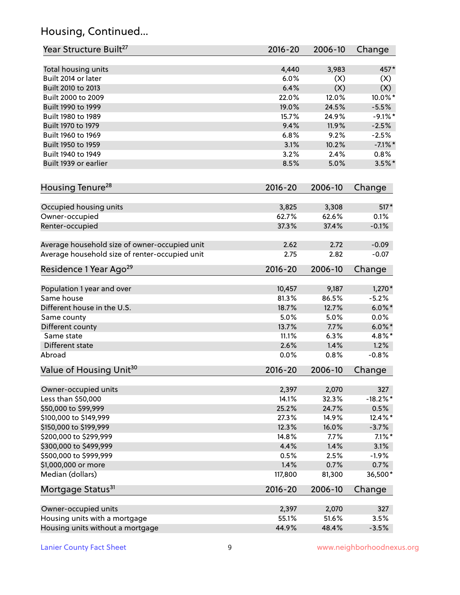# Housing, Continued...

| Year Structure Built <sup>27</sup>             | 2016-20     | 2006-10 | Change      |
|------------------------------------------------|-------------|---------|-------------|
| Total housing units                            | 4,440       | 3,983   | 457*        |
| Built 2014 or later                            | 6.0%        | (X)     | (X)         |
| Built 2010 to 2013                             | 6.4%        | (X)     | (X)         |
| Built 2000 to 2009                             | 22.0%       | 12.0%   | 10.0%*      |
| Built 1990 to 1999                             | 19.0%       | 24.5%   | $-5.5%$     |
| Built 1980 to 1989                             | 15.7%       | 24.9%   | $-9.1\%$ *  |
| Built 1970 to 1979                             | 9.4%        | 11.9%   | $-2.5%$     |
| Built 1960 to 1969                             | 6.8%        | 9.2%    | $-2.5%$     |
| Built 1950 to 1959                             | 3.1%        | 10.2%   | $-7.1\%$ *  |
| Built 1940 to 1949                             | 3.2%        | 2.4%    | 0.8%        |
| Built 1939 or earlier                          | 8.5%        | 5.0%    | $3.5\%$ *   |
|                                                |             |         |             |
| Housing Tenure <sup>28</sup>                   | $2016 - 20$ | 2006-10 | Change      |
| Occupied housing units                         | 3,825       | 3,308   | $517*$      |
| Owner-occupied                                 | 62.7%       | 62.6%   | 0.1%        |
| Renter-occupied                                | 37.3%       | 37.4%   | $-0.1%$     |
|                                                |             |         |             |
| Average household size of owner-occupied unit  | 2.62        | 2.72    | $-0.09$     |
| Average household size of renter-occupied unit | 2.75        | 2.82    | $-0.07$     |
| Residence 1 Year Ago <sup>29</sup>             | 2016-20     | 2006-10 | Change      |
|                                                |             |         |             |
| Population 1 year and over                     | 10,457      | 9,187   | $1,270*$    |
| Same house                                     | 81.3%       | 86.5%   | $-5.2%$     |
| Different house in the U.S.                    | 18.7%       | 12.7%   | $6.0\%$ *   |
| Same county                                    | 5.0%        | 5.0%    | 0.0%        |
| Different county                               | 13.7%       | 7.7%    | $6.0\%$ *   |
| Same state                                     | 11.1%       | 6.3%    | 4.8%*       |
| Different state                                | 2.6%        | 1.4%    | 1.2%        |
| Abroad                                         | 0.0%        | 0.8%    | $-0.8%$     |
| Value of Housing Unit <sup>30</sup>            | 2016-20     | 2006-10 | Change      |
| Owner-occupied units                           | 2,397       | 2,070   | 327         |
| Less than \$50,000                             | 14.1%       | 32.3%   | $-18.2\%$ * |
| \$50,000 to \$99,999                           | 25.2%       | 24.7%   | 0.5%        |
| \$100,000 to \$149,999                         | 27.3%       | 14.9%   | 12.4%*      |
| \$150,000 to \$199,999                         | 12.3%       | 16.0%   | $-3.7%$     |
| \$200,000 to \$299,999                         | 14.8%       | 7.7%    | $7.1\%$ *   |
| \$300,000 to \$499,999                         | 4.4%        | 1.4%    | 3.1%        |
| \$500,000 to \$999,999                         | 0.5%        | 2.5%    | $-1.9%$     |
| \$1,000,000 or more                            | 1.4%        | 0.7%    | 0.7%        |
| Median (dollars)                               | 117,800     | 81,300  | 36,500*     |
| Mortgage Status <sup>31</sup>                  | $2016 - 20$ | 2006-10 | Change      |
|                                                |             |         |             |
| Owner-occupied units                           | 2,397       | 2,070   | 327         |
| Housing units with a mortgage                  | 55.1%       | 51.6%   | 3.5%        |
| Housing units without a mortgage               | 44.9%       | 48.4%   | $-3.5%$     |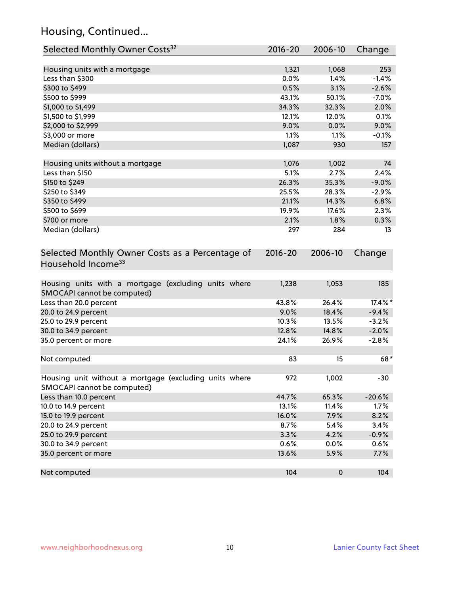# Housing, Continued...

| Selected Monthly Owner Costs <sup>32</sup>                                            | 2016-20     | 2006-10   | Change   |
|---------------------------------------------------------------------------------------|-------------|-----------|----------|
| Housing units with a mortgage                                                         | 1,321       | 1,068     | 253      |
| Less than \$300                                                                       | 0.0%        | 1.4%      | $-1.4%$  |
| \$300 to \$499                                                                        | 0.5%        | 3.1%      | $-2.6%$  |
| \$500 to \$999                                                                        | 43.1%       | 50.1%     | $-7.0%$  |
| \$1,000 to \$1,499                                                                    | 34.3%       | 32.3%     | 2.0%     |
| \$1,500 to \$1,999                                                                    | 12.1%       | 12.0%     | 0.1%     |
| \$2,000 to \$2,999                                                                    | 9.0%        | 0.0%      | 9.0%     |
| \$3,000 or more                                                                       | 1.1%        | 1.1%      | $-0.1%$  |
| Median (dollars)                                                                      | 1,087       | 930       | 157      |
|                                                                                       |             |           |          |
| Housing units without a mortgage                                                      | 1,076       | 1,002     | 74       |
| Less than \$150                                                                       | 5.1%        | 2.7%      | 2.4%     |
| \$150 to \$249                                                                        | 26.3%       | 35.3%     | $-9.0%$  |
| \$250 to \$349                                                                        | 25.5%       | 28.3%     | $-2.9%$  |
| \$350 to \$499                                                                        | 21.1%       | 14.3%     | 6.8%     |
| \$500 to \$699                                                                        | 19.9%       | 17.6%     | 2.3%     |
| \$700 or more                                                                         | 2.1%        | 1.8%      | 0.3%     |
| Median (dollars)                                                                      | 297         | 284       | 13       |
| Selected Monthly Owner Costs as a Percentage of<br>Household Income <sup>33</sup>     | $2016 - 20$ | 2006-10   | Change   |
| Housing units with a mortgage (excluding units where<br>SMOCAPI cannot be computed)   | 1,238       | 1,053     | 185      |
| Less than 20.0 percent                                                                | 43.8%       | 26.4%     | 17.4%*   |
| 20.0 to 24.9 percent                                                                  | 9.0%        | 18.4%     | $-9.4%$  |
| 25.0 to 29.9 percent                                                                  | 10.3%       | 13.5%     | $-3.2%$  |
| 30.0 to 34.9 percent                                                                  | 12.8%       | 14.8%     | $-2.0%$  |
| 35.0 percent or more                                                                  | 24.1%       | 26.9%     | $-2.8%$  |
| Not computed                                                                          | 83          | 15        | 68*      |
|                                                                                       |             |           |          |
| Housing unit without a mortgage (excluding units where<br>SMOCAPI cannot be computed) | 972         | 1,002     | $-30$    |
| Less than 10.0 percent                                                                | 44.7%       | 65.3%     | $-20.6%$ |
| 10.0 to 14.9 percent                                                                  | 13.1%       | 11.4%     | 1.7%     |
| 15.0 to 19.9 percent                                                                  | 16.0%       | 7.9%      | 8.2%     |
| 20.0 to 24.9 percent                                                                  | 8.7%        | 5.4%      | 3.4%     |
| 25.0 to 29.9 percent                                                                  | 3.3%        | 4.2%      | $-0.9%$  |
| 30.0 to 34.9 percent                                                                  | 0.6%        | 0.0%      | 0.6%     |
| 35.0 percent or more                                                                  | 13.6%       | 5.9%      | 7.7%     |
| Not computed                                                                          | 104         | $\pmb{0}$ | 104      |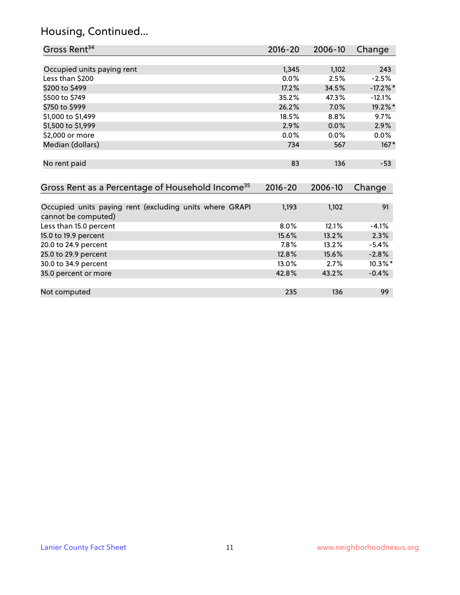### Housing, Continued...

| Gross Rent <sup>34</sup>                                     | 2016-20     | 2006-10 | Change      |
|--------------------------------------------------------------|-------------|---------|-------------|
|                                                              |             |         |             |
| Occupied units paying rent                                   | 1,345       | 1,102   | 243         |
| Less than \$200                                              | $0.0\%$     | 2.5%    | $-2.5%$     |
| \$200 to \$499                                               | 17.2%       | 34.5%   | $-17.2\%$ * |
| \$500 to \$749                                               | 35.2%       | 47.3%   | $-12.1%$    |
| \$750 to \$999                                               | 26.2%       | 7.0%    | 19.2%*      |
| \$1,000 to \$1,499                                           | 18.5%       | 8.8%    | 9.7%        |
| \$1,500 to \$1,999                                           | 2.9%        | 0.0%    | 2.9%        |
| \$2,000 or more                                              | 0.0%        | $0.0\%$ | $0.0\%$     |
| Median (dollars)                                             | 734         | 567     | $167*$      |
|                                                              |             |         |             |
| No rent paid                                                 | 83          | 136     | $-53$       |
|                                                              |             |         |             |
| Gross Rent as a Percentage of Household Income <sup>35</sup> | $2016 - 20$ | 2006-10 | Change      |

| Occupied units paying rent (excluding units where GRAPI | 1,193   | 1,102 | 91         |
|---------------------------------------------------------|---------|-------|------------|
| cannot be computed)                                     |         |       |            |
| Less than 15.0 percent                                  | $8.0\%$ | 12.1% | $-4.1%$    |
| 15.0 to 19.9 percent                                    | 15.6%   | 13.2% | 2.3%       |
| 20.0 to 24.9 percent                                    | 7.8%    | 13.2% | $-5.4%$    |
| 25.0 to 29.9 percent                                    | 12.8%   | 15.6% | $-2.8%$    |
| 30.0 to 34.9 percent                                    | 13.0%   | 2.7%  | $10.3\%$ * |
| 35.0 percent or more                                    | 42.8%   | 43.2% | $-0.4%$    |
|                                                         |         |       |            |
| Not computed                                            | 235     | 136   | 99         |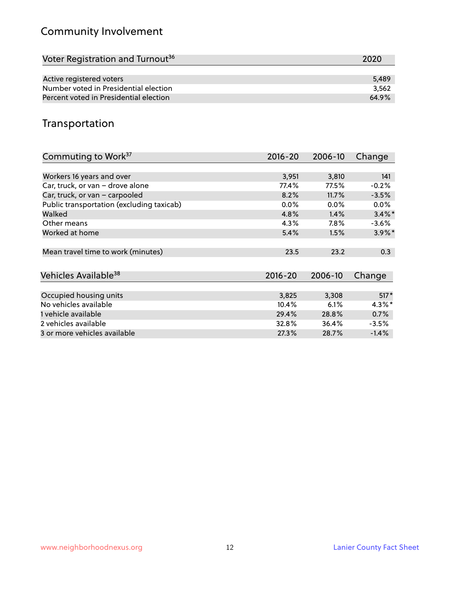# Community Involvement

| Voter Registration and Turnout <sup>36</sup> | 2020  |
|----------------------------------------------|-------|
|                                              |       |
| Active registered voters                     | 5,489 |
| Number voted in Presidential election        | 3.562 |
| Percent voted in Presidential election       | 64.9% |

## Transportation

| Commuting to Work <sup>37</sup>           | 2016-20     | 2006-10 | Change               |
|-------------------------------------------|-------------|---------|----------------------|
|                                           |             |         |                      |
| Workers 16 years and over                 | 3,951       | 3,810   | 141                  |
| Car, truck, or van - drove alone          | 77.4%       | 77.5%   | $-0.2%$              |
| Car, truck, or van - carpooled            | 8.2%        | 11.7%   | $-3.5%$              |
| Public transportation (excluding taxicab) | $0.0\%$     | $0.0\%$ | $0.0\%$              |
| Walked                                    | 4.8%        | 1.4%    | $3.4\%$ *            |
| Other means                               | 4.3%        | $7.8\%$ | $-3.6%$              |
| Worked at home                            | 5.4%        | 1.5%    | $3.9\%$ <sup>*</sup> |
|                                           |             |         |                      |
| Mean travel time to work (minutes)        | 23.5        | 23.2    | 0.3                  |
|                                           |             |         |                      |
| Vehicles Available <sup>38</sup>          | $2016 - 20$ | 2006-10 | Change               |
|                                           |             |         |                      |
| Occupied housing units                    | 3,825       | 3,308   | $517*$               |
| No vehicles available                     | 10.4%       | 6.1%    | $4.3\%$ *            |
| 1 vehicle available                       | 29.4%       | 28.8%   | 0.7%                 |
| 2 vehicles available                      | 32.8%       | 36.4%   | $-3.5%$              |
| 3 or more vehicles available              | 27.3%       | 28.7%   | $-1.4%$              |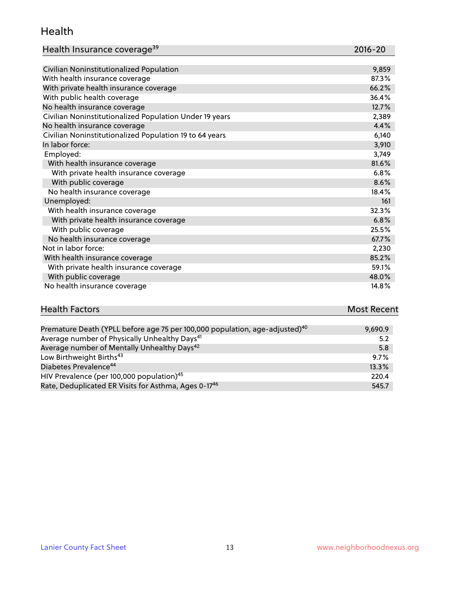#### Health

| Health Insurance coverage <sup>39</sup> | 2016-20 |
|-----------------------------------------|---------|
|-----------------------------------------|---------|

| Civilian Noninstitutionalized Population                | 9,859 |
|---------------------------------------------------------|-------|
| With health insurance coverage                          | 87.3% |
| With private health insurance coverage                  | 66.2% |
| With public health coverage                             | 36.4% |
| No health insurance coverage                            | 12.7% |
| Civilian Noninstitutionalized Population Under 19 years | 2,389 |
| No health insurance coverage                            | 4.4%  |
| Civilian Noninstitutionalized Population 19 to 64 years | 6,140 |
| In labor force:                                         | 3,910 |
| Employed:                                               | 3,749 |
| With health insurance coverage                          | 81.6% |
| With private health insurance coverage                  | 6.8%  |
| With public coverage                                    | 8.6%  |
| No health insurance coverage                            | 18.4% |
| Unemployed:                                             | 161   |
| With health insurance coverage                          | 32.3% |
| With private health insurance coverage                  | 6.8%  |
| With public coverage                                    | 25.5% |
| No health insurance coverage                            | 67.7% |
| Not in labor force:                                     | 2,230 |
| With health insurance coverage                          | 85.2% |
| With private health insurance coverage                  | 59.1% |
| With public coverage                                    | 48.0% |
| No health insurance coverage                            | 14.8% |

| <b>Health Factors</b>                                                                   | <b>Most Recent</b> |
|-----------------------------------------------------------------------------------------|--------------------|
|                                                                                         |                    |
| Premature Death (YPLL before age 75 per 100,000 population, age-adjusted) <sup>40</sup> | 9.690.9            |
| As a set of second leaves for planned and leader that the base $\sim 41$                |                    |

| Average number of Physically Unhealthy Days <sup>41</sup>        | 5.2   |
|------------------------------------------------------------------|-------|
| Average number of Mentally Unhealthy Days <sup>42</sup>          | 5.8   |
| Low Birthweight Births <sup>43</sup>                             | 9.7%  |
| Diabetes Prevalence <sup>44</sup>                                | 13.3% |
| HIV Prevalence (per 100,000 population) <sup>45</sup>            | 220.4 |
| Rate, Deduplicated ER Visits for Asthma, Ages 0-17 <sup>46</sup> | 545.7 |